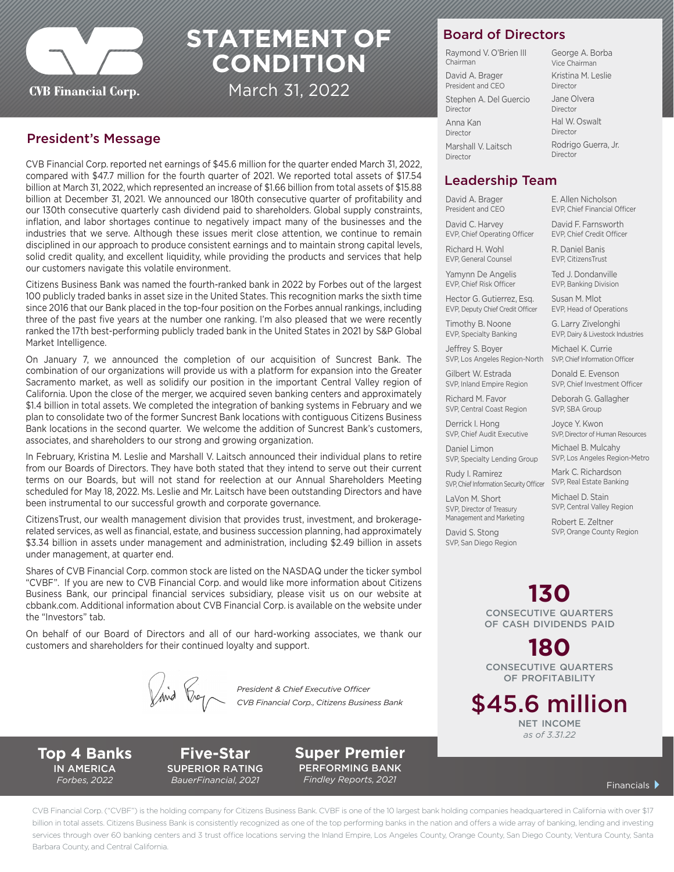

# **STATEMENT OF CONDITION**

March 31, 2022

#### President's Message

CVB Financial Corp. reported net earnings of \$45.6 million for the quarter ended March 31, 2022, compared with \$47.7 million for the fourth quarter of 2021. We reported total assets of \$17.54 billion at March 31, 2022, which represented an increase of \$1.66 billion from total assets of \$15.88 billion at December 31, 2021. We announced our 180th consecutive quarter of profitability and our 130th consecutive quarterly cash dividend paid to shareholders. Global supply constraints, inflation, and labor shortages continue to negatively impact many of the businesses and the industries that we serve. Although these issues merit close attention, we continue to remain disciplined in our approach to produce consistent earnings and to maintain strong capital levels, solid credit quality, and excellent liquidity, while providing the products and services that help our customers navigate this volatile environment.

Citizens Business Bank was named the fourth-ranked bank in 2022 by Forbes out of the largest 100 publicly traded banks in asset size in the United States. This recognition marks the sixth time since 2016 that our Bank placed in the top-four position on the Forbes annual rankings, including three of the past five years at the number one ranking. I'm also pleased that we were recently ranked the 17th best-performing publicly traded bank in the United States in 2021 by S&P Global Market Intelligence.

On January 7, we announced the completion of our acquisition of Suncrest Bank. The combination of our organizations will provide us with a platform for expansion into the Greater Sacramento market, as well as solidify our position in the important Central Valley region of California. Upon the close of the merger, we acquired seven banking centers and approximately \$1.4 billion in total assets. We completed the integration of banking systems in February and we plan to consolidate two of the former Suncrest Bank locations with contiguous Citizens Business Bank locations in the second quarter. We welcome the addition of Suncrest Bank's customers, associates, and shareholders to our strong and growing organization.

In February, Kristina M. Leslie and Marshall V. Laitsch announced their individual plans to retire from our Boards of Directors. They have both stated that they intend to serve out their current terms on our Boards, but will not stand for reelection at our Annual Shareholders Meeting scheduled for May 18, 2022. Ms. Leslie and Mr. Laitsch have been outstanding Directors and have been instrumental to our successful growth and corporate governance.

CitizensTrust, our wealth management division that provides trust, investment, and brokeragerelated services, as well as financial, estate, and business succession planning, had approximately \$3.34 billion in assets under management and administration, including \$2.49 billion in assets under management, at quarter end.

Shares of CVB Financial Corp. common stock are listed on the NASDAQ under the ticker symbol "CVBF". If you are new to CVB Financial Corp. and would like more information about Citizens Business Bank, our principal financial services subsidiary, please visit us on our website at cbbank.com. Additional information about CVB Financial Corp. is available on the website under the "Investors" tab.

On behalf of our Board of Directors and all of our hard-working associates, we thank our customers and shareholders for their continued loyalty and support.

*President & Chief Executive Officer CVB Financial Corp., Citizens Business Bank*

**Top 4 Banks** IN AMERICA *Forbes, 2022*

**Five-Star**  SUPERIOR RATING *BauerFinancial, 2021* Financials

**Super Premier** PERFORMING BANK *Findley Reports, 2021*

### Board of Directors

Raymond V. O'Brien III Chairman David A. Brager President and CEO Stephen A. Del Guercio Director Anna Kan Director Marshall V. Laitsch Director

George A. Borba Vice Chairman Kristina M. Leslie Director Jane Olvera Director Hal W. Oswalt Director Rodrigo Guerra, Jr. Director

#### Leadership Team

David A. Brager President and CEO

David C. Harvey EVP, Chief Operating Officer

Richard H. Wohl EVP, General Counsel

E. Allen Nicholson EVP, Chief Financial Officer

R. Daniel Banis

Yamynn De Angelis EVP, Chief Risk Officer

Hector G. Gutierrez, Esq. EVP, Deputy Chief Credit Officer

Timothy B. Noone EVP, Specialty Banking

Jeffrey S. Boyer SVP, Los Angeles Region-North SVP, Chief Information Officer

Gilbert W. Estrada SVP, Inland Empire Region

Richard M. Favor SVP, Central Coast Region

Derrick I. Hong SVP, Chief Audit Executive

Daniel Limon SVP, Specialty Lending Group

Rudy I. Ramirez SVP, Chief Information Security Officer SVP, Real Estate Banking

LaVon M. Short SVP, Director of Treasury Management and Marketing

SVP, San Diego Region

David F. Farnsworth EVP, Chief Credit Officer

EVP, CitizensTrust

Ted J. Dondanville EVP, Banking Division

Susan M. Mlot EVP, Head of Operations

G. Larry Zivelonghi EVP, Dairy & Livestock Industries

Michael K. Currie

Donald E. Evenson SVP, Chief Investment Officer

Deborah G. Gallagher SVP, SBA Group

Joyce Y. Kwon SVP, Director of Human Resources

Michael B. Mulcahy SVP, Los Angeles Region-Metro

Mark C. Richardson

David S. Stong

Michael D. Stain SVP Central Valley Region

Robert E. Zeltner SVP, Orange County Region

## **130**

consecutive quarters of cash dividends paid

**180**  consecutive quarters OF PROFITABILITY

\$45.6 million net income *as of 3.31.22*

CVB Financial Corp. ("CVBF") is the holding company for Citizens Business Bank. CVBF is one of the 10 largest bank holding companies headquartered in California with over \$17 billion in total assets. Citizens Business Bank is consistently recognized as one of the top performing banks in the nation and offers a wide array of banking, lending and investing services through over 60 banking centers and 3 trust office locations serving the Inland Empire, Los Angeles County, Orange County, San Diego County, Ventura County, Santa Barbara County, and Central California.